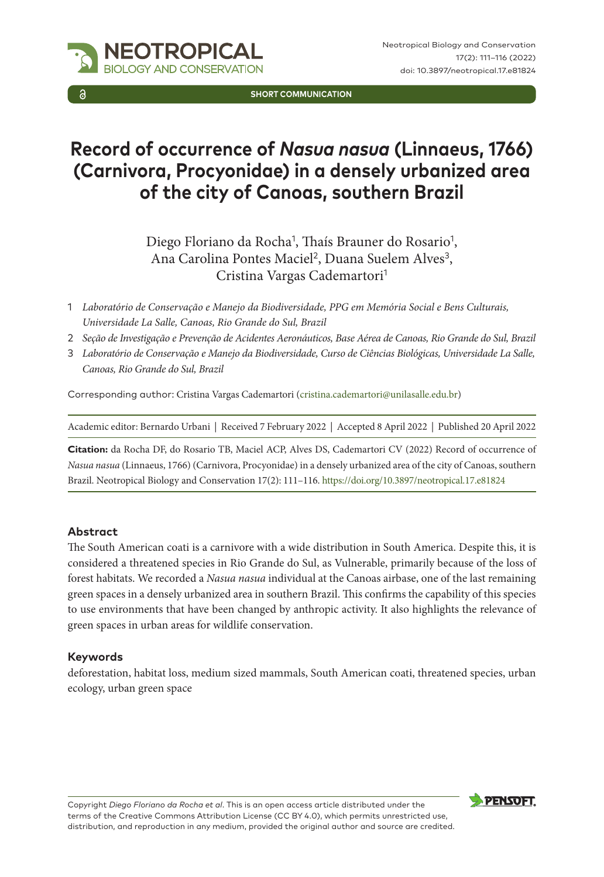

**SHORT COMMUNICATION**

# **Record of occurrence of** *Nasua nasua* **(Linnaeus, 1766) (Carnivora, Procyonidae) in a densely urbanized area of the city of Canoas, southern Brazil**

Diego Floriano da Rocha<sup>1</sup>, Thaís Brauner do Rosario<sup>1</sup>, Ana Carolina Pontes Maciel<sup>2</sup>, Duana Suelem Alves<sup>3</sup>, Cristina Vargas Cademartori<sup>1</sup>

- 1 *Laboratório de Conservação e Manejo da Biodiversidade, PPG em Memória Social e Bens Culturais, Universidade La Salle, Canoas, Rio Grande do Sul, Brazil*
- 2 *Seção de Investigação e Prevenção de Acidentes Aeronáuticos, Base Aérea de Canoas, Rio Grande do Sul, Brazil*
- 3 *Laboratório de Conservação e Manejo da Biodiversidade, Curso de Ciências Biológicas, Universidade La Salle, Canoas, Rio Grande do Sul, Brazil*

Corresponding author: Cristina Vargas Cademartori [\(cristina.cademartori@unilasalle.edu.br\)](mailto:cristina.cademartori@unilasalle.edu.br)

Academic editor: Bernardo Urbani | Received 7 February 2022 | Accepted 8 April 2022 | Published 20 April 2022

**Citation:** da Rocha DF, do Rosario TB, Maciel ACP, Alves DS, Cademartori CV (2022) Record of occurrence of *Nasua nasua* (Linnaeus, 1766) (Carnivora, Procyonidae) in a densely urbanized area of the city of Canoas, southern Brazil. Neotropical Biology and Conservation 17(2): 111–116. <https://doi.org/10.3897/neotropical.17.e81824>

#### **Abstract**

The South American coati is a carnivore with a wide distribution in South America. Despite this, it is considered a threatened species in Rio Grande do Sul, as Vulnerable, primarily because of the loss of forest habitats. We recorded a *Nasua nasua* individual at the Canoas airbase, one of the last remaining green spaces in a densely urbanized area in southern Brazil. This confirms the capability of this species to use environments that have been changed by anthropic activity. It also highlights the relevance of green spaces in urban areas for wildlife conservation.

#### **Keywords**

deforestation, habitat loss, medium sized mammals, South American coati, threatened species, urban ecology, urban green space

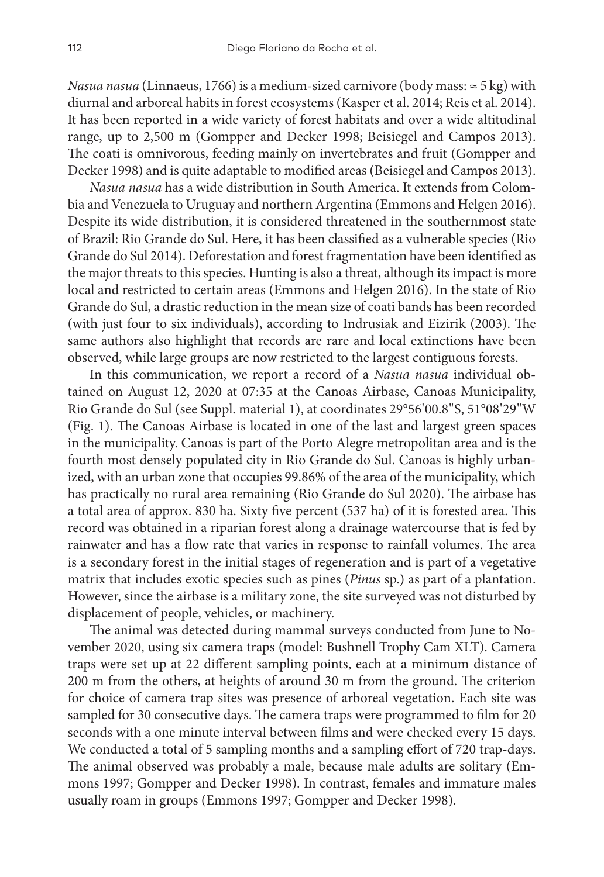*Nasua nasua* (Linnaeus, 1766) is a medium-sized carnivore (body mass: ≈ 5 kg) with diurnal and arboreal habits in forest ecosystems (Kasper et al. 2014; Reis et al. 2014). It has been reported in a wide variety of forest habitats and over a wide altitudinal range, up to 2,500 m (Gompper and Decker 1998; Beisiegel and Campos 2013). The coati is omnivorous, feeding mainly on invertebrates and fruit (Gompper and Decker 1998) and is quite adaptable to modified areas (Beisiegel and Campos 2013).

*Nasua nasua* has a wide distribution in South America. It extends from Colombia and Venezuela to Uruguay and northern Argentina (Emmons and Helgen 2016). Despite its wide distribution, it is considered threatened in the southernmost state of Brazil: Rio Grande do Sul. Here, it has been classified as a vulnerable species (Rio Grande do Sul 2014). Deforestation and forest fragmentation have been identified as the major threats to this species. Hunting is also a threat, although its impact is more local and restricted to certain areas (Emmons and Helgen 2016). In the state of Rio Grande do Sul, a drastic reduction in the mean size of coati bands has been recorded (with just four to six individuals), according to Indrusiak and Eizirik (2003). The same authors also highlight that records are rare and local extinctions have been observed, while large groups are now restricted to the largest contiguous forests.

In this communication, we report a record of a *Nasua nasua* individual obtained on August 12, 2020 at 07:35 at the Canoas Airbase, Canoas Municipality, Rio Grande do Sul (see Suppl. material 1), at coordinates 29°56'00.8"S, 51°08'29"W (Fig. 1). The Canoas Airbase is located in one of the last and largest green spaces in the municipality. Canoas is part of the Porto Alegre metropolitan area and is the fourth most densely populated city in Rio Grande do Sul. Canoas is highly urbanized, with an urban zone that occupies 99.86% of the area of the municipality, which has practically no rural area remaining (Rio Grande do Sul 2020). The airbase has a total area of approx. 830 ha. Sixty five percent (537 ha) of it is forested area. This record was obtained in a riparian forest along a drainage watercourse that is fed by rainwater and has a flow rate that varies in response to rainfall volumes. The area is a secondary forest in the initial stages of regeneration and is part of a vegetative matrix that includes exotic species such as pines (*Pinus* sp.) as part of a plantation. However, since the airbase is a military zone, the site surveyed was not disturbed by displacement of people, vehicles, or machinery.

The animal was detected during mammal surveys conducted from June to November 2020, using six camera traps (model: Bushnell Trophy Cam XLT). Camera traps were set up at 22 different sampling points, each at a minimum distance of 200 m from the others, at heights of around 30 m from the ground. The criterion for choice of camera trap sites was presence of arboreal vegetation. Each site was sampled for 30 consecutive days. The camera traps were programmed to film for 20 seconds with a one minute interval between films and were checked every 15 days. We conducted a total of 5 sampling months and a sampling effort of 720 trap-days. The animal observed was probably a male, because male adults are solitary (Emmons 1997; Gompper and Decker 1998). In contrast, females and immature males usually roam in groups (Emmons 1997; Gompper and Decker 1998).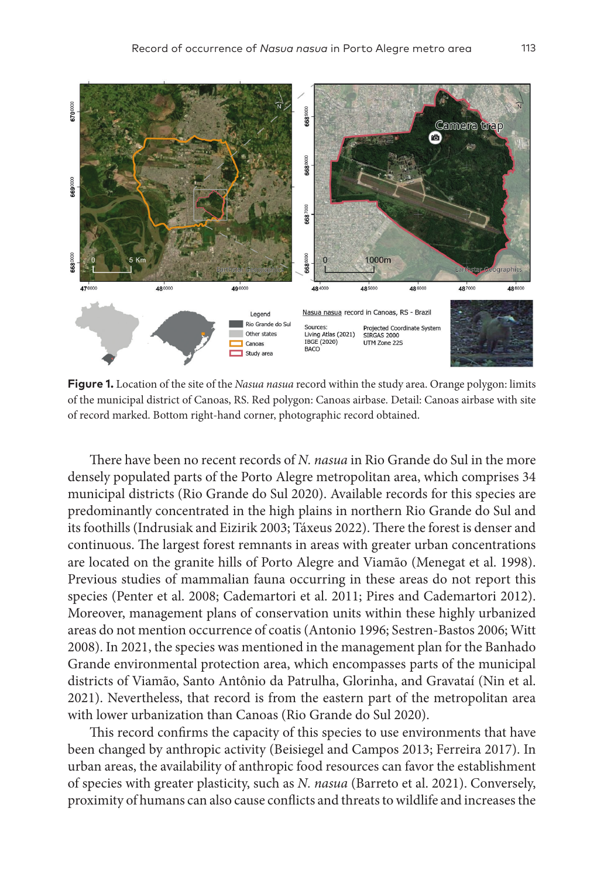

**Figure 1.** Location of the site of the *Nasua nasua* record within the study area. Orange polygon: limits of the municipal district of Canoas, RS. Red polygon: Canoas airbase. Detail: Canoas airbase with site of record marked. Bottom right-hand corner, photographic record obtained.

There have been no recent records of *N. nasua* in Rio Grande do Sul in the more densely populated parts of the Porto Alegre metropolitan area, which comprises 34 municipal districts (Rio Grande do Sul 2020). Available records for this species are predominantly concentrated in the high plains in northern Rio Grande do Sul and its foothills (Indrusiak and Eizirik 2003; Táxeus 2022). There the forest is denser and continuous. The largest forest remnants in areas with greater urban concentrations are located on the granite hills of Porto Alegre and Viamão (Menegat et al. 1998). Previous studies of mammalian fauna occurring in these areas do not report this species (Penter et al. 2008; Cademartori et al. 2011; Pires and Cademartori 2012). Moreover, management plans of conservation units within these highly urbanized areas do not mention occurrence of coatis (Antonio 1996; Sestren-Bastos 2006; Witt 2008). In 2021, the species was mentioned in the management plan for the Banhado Grande environmental protection area, which encompasses parts of the municipal districts of Viamão, Santo Antônio da Patrulha, Glorinha, and Gravataí (Nin et al. 2021). Nevertheless, that record is from the eastern part of the metropolitan area with lower urbanization than Canoas (Rio Grande do Sul 2020).

This record confirms the capacity of this species to use environments that have been changed by anthropic activity (Beisiegel and Campos 2013; Ferreira 2017). In urban areas, the availability of anthropic food resources can favor the establishment of species with greater plasticity, such as *N. nasua* (Barreto et al. 2021). Conversely, proximity of humans can also cause conflicts and threats to wildlife and increases the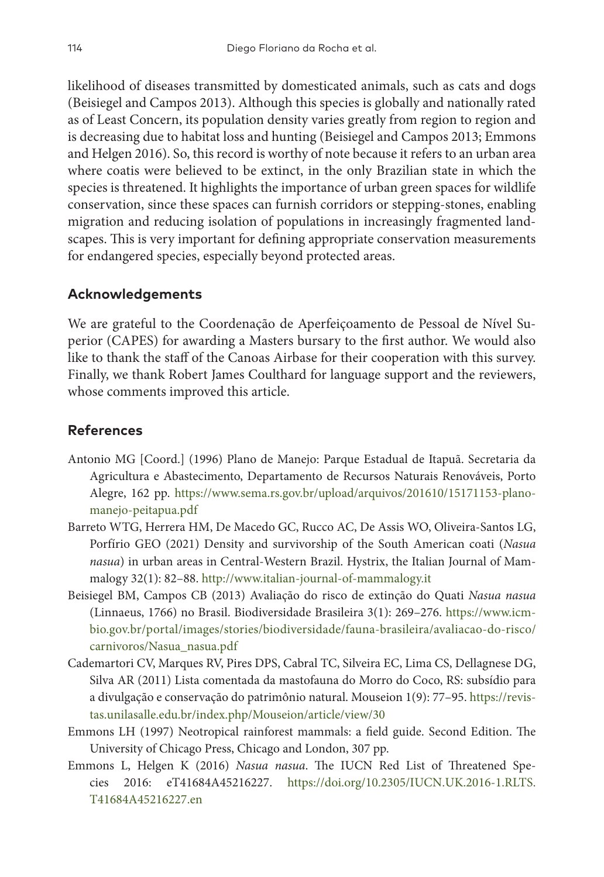likelihood of diseases transmitted by domesticated animals, such as cats and dogs (Beisiegel and Campos 2013). Although this species is globally and nationally rated as of Least Concern, its population density varies greatly from region to region and is decreasing due to habitat loss and hunting (Beisiegel and Campos 2013; Emmons and Helgen 2016). So, this record is worthy of note because it refers to an urban area where coatis were believed to be extinct, in the only Brazilian state in which the species is threatened. It highlights the importance of urban green spaces for wildlife conservation, since these spaces can furnish corridors or stepping-stones, enabling migration and reducing isolation of populations in increasingly fragmented landscapes. This is very important for defining appropriate conservation measurements for endangered species, especially beyond protected areas.

## **Acknowledgements**

We are grateful to the Coordenação de Aperfeiçoamento de Pessoal de Nível Superior (CAPES) for awarding a Masters bursary to the first author. We would also like to thank the staff of the Canoas Airbase for their cooperation with this survey. Finally, we thank Robert James Coulthard for language support and the reviewers, whose comments improved this article.

#### **References**

- Antonio MG [Coord.] (1996) Plano de Manejo: Parque Estadual de Itapuã. Secretaria da Agricultura e Abastecimento, Departamento de Recursos Naturais Renováveis, Porto Alegre, 162 pp. [https://www.sema.rs.gov.br/upload/arquivos/201610/15171153-plano](https://www.sema.rs.gov.br/upload/arquivos/201610/15171153-plano-manejo-peitapua.pdf)[manejo-peitapua.pdf](https://www.sema.rs.gov.br/upload/arquivos/201610/15171153-plano-manejo-peitapua.pdf)
- Barreto WTG, Herrera HM, De Macedo GC, Rucco AC, De Assis WO, Oliveira-Santos LG, Porfírio GEO (2021) Density and survivorship of the South American coati (*Nasua nasua*) in urban areas in Central-Western Brazil. Hystrix, the Italian Journal of Mammalogy 32(1): 82–88.<http://www.italian-journal-of-mammalogy.it>
- Beisiegel BM, Campos CB (2013) Avaliação do risco de extinção do Quati *Nasua nasua* (Linnaeus, 1766) no Brasil. Biodiversidade Brasileira 3(1): 269–276. [https://www.icm](https://www.icmbio.gov.br/portal/images/stories/biodiversidade/fauna-brasileira/avaliacao-do-risco/carnivoros/Nasua_nasua.pdf)[bio.gov.br/portal/images/stories/biodiversidade/fauna-brasileira/avaliacao-do-risco/](https://www.icmbio.gov.br/portal/images/stories/biodiversidade/fauna-brasileira/avaliacao-do-risco/carnivoros/Nasua_nasua.pdf) [carnivoros/Nasua\\_nasua.pdf](https://www.icmbio.gov.br/portal/images/stories/biodiversidade/fauna-brasileira/avaliacao-do-risco/carnivoros/Nasua_nasua.pdf)
- Cademartori CV, Marques RV, Pires DPS, Cabral TC, Silveira EC, Lima CS, Dellagnese DG, Silva AR (2011) Lista comentada da mastofauna do Morro do Coco, RS: subsídio para a divulgação e conservação do patrimônio natural. Mouseion 1(9): 77–95. [https://revis](https://revistas.unilasalle.edu.br/index.php/Mouseion/article/view/30)[tas.unilasalle.edu.br/index.php/Mouseion/article/view/30](https://revistas.unilasalle.edu.br/index.php/Mouseion/article/view/30)
- Emmons LH (1997) Neotropical rainforest mammals: a field guide. Second Edition. The University of Chicago Press, Chicago and London, 307 pp.
- Emmons L, Helgen K (2016) *Nasua nasua*. The IUCN Red List of Threatened Species 2016: eT41684A45216227. [https://doi.org/10.2305/IUCN.UK.2016-1.RLTS.](https://doi.org/10.2305/IUCN.UK.2016-1.RLTS.T41684A45216227.en) [T41684A45216227.en](https://doi.org/10.2305/IUCN.UK.2016-1.RLTS.T41684A45216227.en)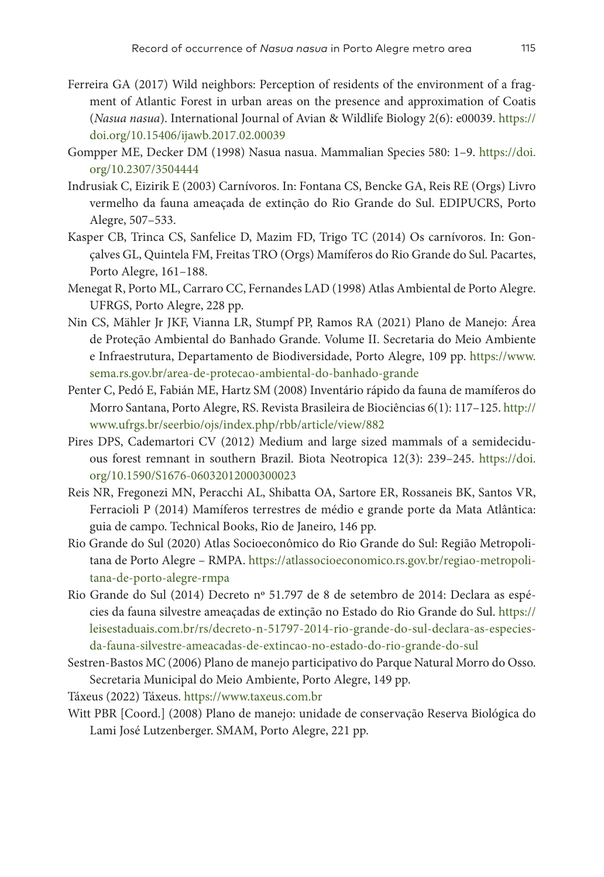- Ferreira GA (2017) Wild neighbors: Perception of residents of the environment of a fragment of Atlantic Forest in urban areas on the presence and approximation of Coatis (*Nasua nasua*). International Journal of Avian & Wildlife Biology 2(6): e00039. [https://](https://doi.org/10.15406/ijawb.2017.02.00039) [doi.org/10.15406/ijawb.2017.02.00039](https://doi.org/10.15406/ijawb.2017.02.00039)
- Gompper ME, Decker DM (1998) Nasua nasua. Mammalian Species 580: 1–9. [https://doi.](https://doi.org/10.2307/3504444) [org/10.2307/3504444](https://doi.org/10.2307/3504444)
- Indrusiak C, Eizirik E (2003) Carnívoros. In: Fontana CS, Bencke GA, Reis RE (Orgs) Livro vermelho da fauna ameaçada de extinção do Rio Grande do Sul. EDIPUCRS, Porto Alegre, 507–533.
- Kasper CB, Trinca CS, Sanfelice D, Mazim FD, Trigo TC (2014) Os carnívoros. In: Gonçalves GL, Quintela FM, Freitas TRO (Orgs) Mamíferos do Rio Grande do Sul. Pacartes, Porto Alegre, 161–188.
- Menegat R, Porto ML, Carraro CC, Fernandes LAD (1998) Atlas Ambiental de Porto Alegre. UFRGS, Porto Alegre, 228 pp.
- Nin CS, Mähler Jr JKF, Vianna LR, Stumpf PP, Ramos RA (2021) Plano de Manejo: Área de Proteção Ambiental do Banhado Grande. Volume II. Secretaria do Meio Ambiente e Infraestrutura, Departamento de Biodiversidade, Porto Alegre, 109 pp. [https://www.](https://www.sema.rs.gov.br/area-de-protecao-ambiental-do-banhado-grande) [sema.rs.gov.br/area-de-protecao-ambiental-do-banhado-grande](https://www.sema.rs.gov.br/area-de-protecao-ambiental-do-banhado-grande)
- Penter C, Pedó E, Fabián ME, Hartz SM (2008) Inventário rápido da fauna de mamíferos do Morro Santana, Porto Alegre, RS. Revista Brasileira de Biociências 6(1): 117–125. [http://](http://www.ufrgs.br/seerbio/ojs/index.php/rbb/article/view/882) [www.ufrgs.br/seerbio/ojs/index.php/rbb/article/view/882](http://www.ufrgs.br/seerbio/ojs/index.php/rbb/article/view/882)
- Pires DPS, Cademartori CV (2012) Medium and large sized mammals of a semideciduous forest remnant in southern Brazil. Biota Neotropica 12(3): 239–245. [https://doi.](https://doi.org/10.1590/S1676-06032012000300023) [org/10.1590/S1676-06032012000300023](https://doi.org/10.1590/S1676-06032012000300023)
- Reis NR, Fregonezi MN, Peracchi AL, Shibatta OA, Sartore ER, Rossaneis BK, Santos VR, Ferracioli P (2014) Mamíferos terrestres de médio e grande porte da Mata Atlântica: guia de campo. Technical Books, Rio de Janeiro, 146 pp.
- Rio Grande do Sul (2020) Atlas Socioeconômico do Rio Grande do Sul: Região Metropolitana de Porto Alegre – RMPA. [https://atlassocioeconomico.rs.gov.br/regiao-metropoli](https://atlassocioeconomico.rs.gov.br/regiao-metropolitana-de-porto-alegre-rmpa)[tana-de-porto-alegre-rmpa](https://atlassocioeconomico.rs.gov.br/regiao-metropolitana-de-porto-alegre-rmpa)
- Rio Grande do Sul (2014) Decreto nº 51.797 de 8 de setembro de 2014: Declara as espécies da fauna silvestre ameaçadas de extinção no Estado do Rio Grande do Sul. [https://](https://leisestaduais.com.br/rs/decreto-n-51797-2014-rio-grande-do-sul-declara-as-especies-da-fauna-silvestre-ameacadas-de-extincao-no-estado-do-rio-grande-do-sul) [leisestaduais.com.br/rs/decreto-n-51797-2014-rio-grande-do-sul-declara-as-especies](https://leisestaduais.com.br/rs/decreto-n-51797-2014-rio-grande-do-sul-declara-as-especies-da-fauna-silvestre-ameacadas-de-extincao-no-estado-do-rio-grande-do-sul)[da-fauna-silvestre-ameacadas-de-extincao-no-estado-do-rio-grande-do-sul](https://leisestaduais.com.br/rs/decreto-n-51797-2014-rio-grande-do-sul-declara-as-especies-da-fauna-silvestre-ameacadas-de-extincao-no-estado-do-rio-grande-do-sul)
- Sestren-Bastos MC (2006) Plano de manejo participativo do Parque Natural Morro do Osso. Secretaria Municipal do Meio Ambiente, Porto Alegre, 149 pp.

Táxeus (2022) Táxeus. <https://www.taxeus.com.br>

Witt PBR [Coord.] (2008) Plano de manejo: unidade de conservação Reserva Biológica do Lami José Lutzenberger. SMAM, Porto Alegre, 221 pp.